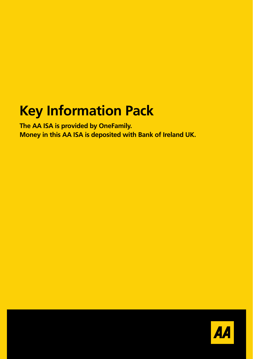# **Key Information Pack**

**The AA ISA is provided by OneFamily. Money in this AA ISA is deposited with Bank of Ireland UK.** 

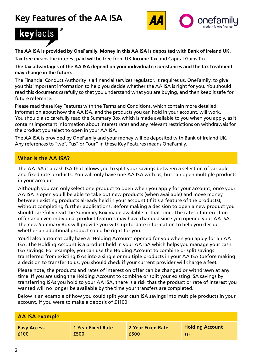## **Key Features of the AA ISA**





#### **The AA ISA is provided by OneFamily. Money in this AA ISA is deposited with Bank of Ireland UK.**

Tax-free means the interest paid will be free from UK Income Tax and Capital Gains Tax.

#### **The tax advantages of the AA ISA depend on your individual circumstances and the tax treatment may change in the future.**

The Financial Conduct Authority is a financial services regulator. It requires us, OneFamily, to give you this important information to help you decide whether the AA ISA is right for you. You should read this document carefully so that you understand what you are buying, and then keep it safe for future reference.

Please read these Key Features with the Terms and Conditions, which contain more detailed information about how the AA ISA, and the products you can hold in your account, will work. You should also carefully read the Summary Box which is made available to you when you apply, as it contains important information about interest rates and any relevant restrictions on withdrawals for the product you select to open in your AA ISA.

The AA ISA is provided by OneFamily and your money will be deposited with Bank of Ireland UK. Any references to "we", "us" or "our" in these Key Features means OneFamily.

### **What is the AA ISA?**

The AA ISA is a cash ISA that allows you to split your savings between a selection of variable and fixed rate products. You will only have one AA ISA with us, but can open multiple products in your account.

Although you can only select one product to open when you apply for your account, once your AA ISA is open you'll be able to take out new products (when available) and move money between existing products already held in your account (if it's a feature of the products), without completing further applications. Before making a decision to open a new product you should carefully read the Summary Box made available at that time. The rates of interest on offer and even individual product features may have changed since you opened your AA ISA. The new Summary Box will provide you with up-to-date information to help you decide whether an additional product could be right for you.

You'll also automatically have a 'Holding Account' opened for you when you apply for an AA ISA. The Holding Account is a product held in your AA ISA which helps you manage your cash ISA savings. For example, you can use the Holding Account to combine or split savings transferred from existing ISAs into a single or multiple products in your AA ISA (before making a decision to transfer to us, you should check if your current provider will charge a fee).

Please note, the products and rates of interest on offer can be changed or withdrawn at any time. If you are using the Holding Account to combine or split your existing ISA savings by transferring ISAs you hold to your AA ISA, there is a risk that the product or rate of interest you wanted will no longer be available by the time your transfers are completed.

Below is an example of how you could split your cash ISA savings into multiple products in your account, if you were to make a deposit of £1100:

| <b>AA ISA example</b> |                          |                   |                        |
|-----------------------|--------------------------|-------------------|------------------------|
| <b>Easy Access</b>    | <b>1 Year Fixed Rate</b> | 2 Year Fixed Rate | <b>Holding Account</b> |
| £100                  | £500                     | £500              | £0                     |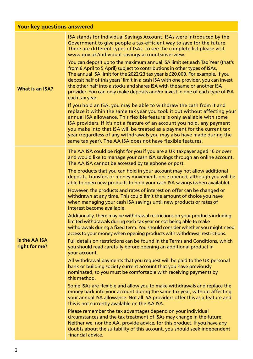| <b>Your key questions answered</b> |                                                                                                                                                                                                                                                                                                                                                                                                                                                                                                                              |
|------------------------------------|------------------------------------------------------------------------------------------------------------------------------------------------------------------------------------------------------------------------------------------------------------------------------------------------------------------------------------------------------------------------------------------------------------------------------------------------------------------------------------------------------------------------------|
| <b>What is an ISA?</b>             | ISA stands for Individual Savings Account. ISAs were introduced by the<br>Government to give people a tax-efficient way to save for the future.<br>There are different types of ISAs, to see the complete list please visit<br>www.gov.uk/individual-savings-accounts/overview.                                                                                                                                                                                                                                              |
|                                    | You can deposit up to the maximum annual ISA limit set each Tax Year (that's<br>from 6 April to 5 April) subject to contributions in other types of ISAs.<br>The annual ISA limit for the 2022/23 tax year is £20,000. For example, if you<br>deposit half of this years' limit in a cash ISA with one provider, you can invest<br>the other half into a stocks and shares ISA with the same or another ISA<br>provider. You can only make deposits and/or invest in one of each type of ISA<br>each tax year.               |
|                                    | If you hold an ISA, you may be able to withdraw the cash from it and<br>replace it within the same tax year you took it out without affecting your<br>annual ISA allowance. This flexible feature is only available with some<br>ISA providers. If it's not a feature of an account you hold, any payment<br>you make into that ISA will be treated as a payment for the current tax<br>year (regardless of any withdrawals you may also have made during the<br>same tax year). The AA ISA does not have flexible features. |
| Is the AA ISA<br>right for me?     | The AA ISA could be right for you if you are a UK taxpayer aged 16 or over<br>and would like to manage your cash ISA savings through an online account.<br>The AA ISA cannot be accessed by telephone or post.                                                                                                                                                                                                                                                                                                               |
|                                    | The products that you can hold in your account may not allow additional<br>deposits, transfers or money movements once opened, although you will be<br>able to open new products to hold your cash ISA savings (when available).                                                                                                                                                                                                                                                                                             |
|                                    | However, the products and rates of interest on offer can be changed or<br>withdrawn at any time. This could limit the amount of choice you have<br>when managing your cash ISA savings until new products or rates of<br>interest become available.                                                                                                                                                                                                                                                                          |
|                                    | Additionally, there may be withdrawal restrictions on your products including<br>limited withdrawals during each tax year or not being able to make<br>withdrawals during a fixed term. You should consider whether you might need<br>access to your money when opening products with withdrawal restrictions.                                                                                                                                                                                                               |
|                                    | Full details on restrictions can be found in the Terms and Conditions, which<br>you should read carefully before opening an additional product in<br>your account.                                                                                                                                                                                                                                                                                                                                                           |
|                                    | All withdrawal payments that you request will be paid to the UK personal<br>bank or building society current account that you have previously<br>nominated, so you must be comfortable with receiving payments by<br>this method.                                                                                                                                                                                                                                                                                            |
|                                    | Some ISAs are flexible and allow you to make withdrawals and replace the<br>money back into your account during the same tax year, without affecting<br>your annual ISA allowance. Not all ISA providers offer this as a feature and<br>this is not currently available on the AA ISA.                                                                                                                                                                                                                                       |
|                                    | Please remember the tax advantages depend on your individual<br>circumstances and the tax treatment of ISAs may change in the future.<br>Neither we, nor the AA, provide advice, for this product. If you have any<br>doubts about the suitability of this account, you should seek independent<br>financial advice.                                                                                                                                                                                                         |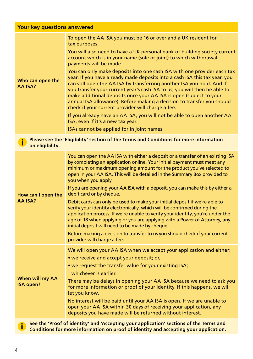| Your key questions answered                                                                                                                                                          |                                                                                                                                                                                                                                                                                                                                                                                                                                                                                                                                                                                                                                                                                                                                                                                                                                                                                                                                                |  |
|--------------------------------------------------------------------------------------------------------------------------------------------------------------------------------------|------------------------------------------------------------------------------------------------------------------------------------------------------------------------------------------------------------------------------------------------------------------------------------------------------------------------------------------------------------------------------------------------------------------------------------------------------------------------------------------------------------------------------------------------------------------------------------------------------------------------------------------------------------------------------------------------------------------------------------------------------------------------------------------------------------------------------------------------------------------------------------------------------------------------------------------------|--|
| Who can open the<br>AA ISA?                                                                                                                                                          | To open the AA ISA you must be 16 or over and a UK resident for<br>tax purposes.<br>You will also need to have a UK personal bank or building society current<br>account which is in your name (sole or joint) to which withdrawal<br>payments will be made.<br>You can only make deposits into one cash ISA with one provider each tax<br>year. If you have already made deposits into a cash ISA this tax year, you<br>can still open the AA ISA by transferring another ISA you hold. And if<br>you transfer your current year's cash ISA to us, you will then be able to<br>make additional deposits once your AA ISA is open (subject to your<br>annual ISA allowance). Before making a decision to transfer you should<br>check if your current provider will charge a fee.<br>If you already have an AA ISA, you will not be able to open another AA<br>ISA, even if it's a new tax year.<br>ISAs cannot be applied for in joint names. |  |
| on eligibility.                                                                                                                                                                      | Please see the 'Eligibility' section of the Terms and Conditions for more information                                                                                                                                                                                                                                                                                                                                                                                                                                                                                                                                                                                                                                                                                                                                                                                                                                                          |  |
| How can I open the<br>AA ISA?                                                                                                                                                        | You can open the AA ISA with either a deposit or a transfer of an existing ISA<br>by completing an application online. Your initial payment must meet any<br>minimum or maximum opening amount for the product you've selected to<br>open in your AA ISA. This will be detailed in the Summary Box provided to<br>you when you apply.<br>If you are opening your AA ISA with a deposit, you can make this by either a<br>debit card or by cheque.<br>Debit cards can only be used to make your initial deposit if we're able to<br>verify your identity electronically, which will be confirmed during the<br>application process. If we're unable to verify your identity, you're under the<br>age of 18 when applying or you are applying with a Power of Attorney, any<br>initial deposit will need to be made by cheque.<br>Before making a decision to transfer to us you should check if your current<br>provider will charge a fee.     |  |
| When will my AA<br>ISA open?                                                                                                                                                         | We will open your AA ISA when we accept your application and either:<br>• we receive and accept your deposit; or,<br>• we request the transfer value for your existing ISA;<br>whichever is earlier.<br>There may be delays in opening your AA ISA because we need to ask you<br>for more information or proof of your identity. If this happens, we will<br>let you know.<br>No interest will be paid until your AA ISA is open. If we are unable to<br>open your AA ISA within 30 days of receiving your application, any<br>deposits you have made will be returned without interest.                                                                                                                                                                                                                                                                                                                                                       |  |
| See the 'Proof of identity' and 'Accepting your application' sections of the Terms and<br>i.<br>Conditions for more information on proof of identity and accepting your application. |                                                                                                                                                                                                                                                                                                                                                                                                                                                                                                                                                                                                                                                                                                                                                                                                                                                                                                                                                |  |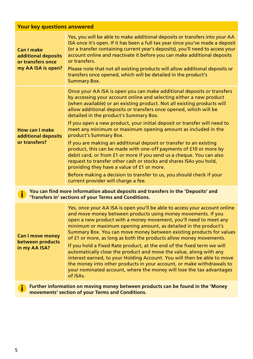|  | Your key questions answered |
|--|-----------------------------|
|  |                             |

| <b>Can I make</b><br>additional deposits<br>or transfers once<br>my AA ISA is open? | Yes, you will be able to make additional deposits or transfers into your AA<br>ISA once it's open. If it has been a full tax year since you've made a deposit<br>(or a transfer containing current year's deposits), you'll need to access your<br>account online and reactivate it before you can make additional deposits<br>or transfers.<br>Please note that not all existing products will allow additional deposits or<br>transfers once opened, which will be detailed in the product's<br><b>Summary Box.</b>                                                                                                                                                                                                                                                                                                                                                                                                                                                |
|-------------------------------------------------------------------------------------|----------------------------------------------------------------------------------------------------------------------------------------------------------------------------------------------------------------------------------------------------------------------------------------------------------------------------------------------------------------------------------------------------------------------------------------------------------------------------------------------------------------------------------------------------------------------------------------------------------------------------------------------------------------------------------------------------------------------------------------------------------------------------------------------------------------------------------------------------------------------------------------------------------------------------------------------------------------------|
| <b>How can I make</b><br>additional deposits<br>or transfers?                       | Once your AA ISA is open you can make additional deposits or transfers<br>by accessing your account online and selecting either a new product<br>(when available) or an existing product. Not all existing products will<br>allow additional deposits or transfers once opened, which will be<br>detailed in the product's Summary Box.<br>If you open a new product, your initial deposit or transfer will need to<br>meet any minimum or maximum opening amount as included in the<br>product's Summary Box.<br>If you are making an additional deposit or transfer to an existing<br>product, this can be made with one-off payments of £10 or more by<br>debit card, or from £1 or more if you send us a cheque. You can also<br>request to transfer other cash or stocks and shares ISAs you hold,<br>providing they have a value of £1 or more.<br>Before making a decision to transfer to us, you should check if your<br>current provider will charge a fee. |
|                                                                                     | You can find more information about deposits and transfers in the 'Deposits' and<br>'Transfers in' sections of your Terms and Conditions.                                                                                                                                                                                                                                                                                                                                                                                                                                                                                                                                                                                                                                                                                                                                                                                                                            |
| <b>Can I move money</b><br>between products<br>in my AA ISA?                        | Yes, once your AA ISA is open you'll be able to access your account online<br>and move money between products using money movements. If you<br>open a new product with a money movement, you'll need to meet any<br>minimum or maximum opening amount, as detailed in the product's<br>Summary Box. You can move money between existing products for values<br>of £1 or more, as long as both the products allow money movements.<br>If you hold a Fixed Rate product, at the end of the fixed term we will<br>automatically close the product and move the value, along with any<br>interest earned, to your Holding Account. You will then be able to move<br>the money into other products in your account, or make withdrawals to<br>your nominated account, where the money will lose the tax advantages<br>of ISAs.                                                                                                                                            |
| i                                                                                   | Further information on moving money between products can be found in the 'Money<br>movements' section of your Terms and Conditions.                                                                                                                                                                                                                                                                                                                                                                                                                                                                                                                                                                                                                                                                                                                                                                                                                                  |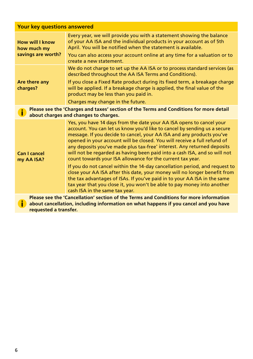| Your key questions answered                          |                                                                                                                                                                                                                                                                                                                                                                                                                                                                                                                             |  |
|------------------------------------------------------|-----------------------------------------------------------------------------------------------------------------------------------------------------------------------------------------------------------------------------------------------------------------------------------------------------------------------------------------------------------------------------------------------------------------------------------------------------------------------------------------------------------------------------|--|
| How will I know<br>how much my<br>savings are worth? | Every year, we will provide you with a statement showing the balance<br>of your AA ISA and the individual products in your account as of 5th<br>April. You will be notified when the statement is available.                                                                                                                                                                                                                                                                                                                |  |
|                                                      | You can also access your account online at any time for a valuation or to<br>create a new statement.                                                                                                                                                                                                                                                                                                                                                                                                                        |  |
| Are there any<br>charges?                            | We do not charge to set up the AA ISA or to process standard services (as<br>described throughout the AA ISA Terms and Conditions).                                                                                                                                                                                                                                                                                                                                                                                         |  |
|                                                      | If you close a Fixed Rate product during its fixed term, a breakage charge<br>will be applied. If a breakage charge is applied, the final value of the<br>product may be less than you paid in.                                                                                                                                                                                                                                                                                                                             |  |
|                                                      | Charges may change in the future.                                                                                                                                                                                                                                                                                                                                                                                                                                                                                           |  |
| i                                                    | Please see the 'Charges and taxes' section of the Terms and Conditions for more detail<br>about charges and changes to charges.                                                                                                                                                                                                                                                                                                                                                                                             |  |
| Can I cancel<br>my AA ISA?                           | Yes, you have 14 days from the date your AA ISA opens to cancel your<br>account. You can let us know you'd like to cancel by sending us a secure<br>message. If you decide to cancel, your AA ISA and any products you've<br>opened in your account will be closed. You will receive a full refund of<br>any deposits you've made plus tax-free* interest. Any returned deposits<br>will not be regarded as having been paid into a cash ISA, and so will not<br>count towards your ISA allowance for the current tax year. |  |
|                                                      | If you do not cancel within the 14-day cancellation period, and request to<br>close your AA ISA after this date, your money will no longer benefit from<br>the tax advantages of ISAs. If you've paid in to your AA ISA in the same<br>tax year that you close it, you won't be able to pay money into another<br>cash ISA in the same tax year.                                                                                                                                                                            |  |
| i                                                    | Please see the 'Cancellation' section of the Terms and Conditions for more information<br>about cancellation, including information on what happens if you cancel and you have                                                                                                                                                                                                                                                                                                                                              |  |

**requested a transfer.**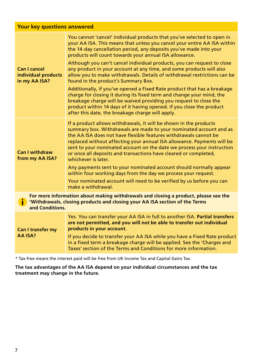| Can I cancel<br>individual products<br>in my AA ISA?                                                                                                                                  | You cannot 'cancel' individual products that you've selected to open in<br>your AA ISA. This means that unless you cancel your entire AA ISA within<br>the 14-day cancellation period, any deposits you've made into your<br>products will count towards your annual ISA allowance.<br>Although you can't cancel individual products, you can request to close<br>any product in your account at any time, and some products will also<br>allow you to make withdrawals. Details of withdrawal restrictions can be<br>found in the product's Summary Box.<br>Additionally, if you've opened a Fixed Rate product that has a breakage<br>charge for closing it during its fixed term and change your mind, the<br>breakage charge will be waived providing you request to close the<br>product within 14 days of it having opened. If you close the product<br>after this date, the breakage charge will apply. |  |
|---------------------------------------------------------------------------------------------------------------------------------------------------------------------------------------|----------------------------------------------------------------------------------------------------------------------------------------------------------------------------------------------------------------------------------------------------------------------------------------------------------------------------------------------------------------------------------------------------------------------------------------------------------------------------------------------------------------------------------------------------------------------------------------------------------------------------------------------------------------------------------------------------------------------------------------------------------------------------------------------------------------------------------------------------------------------------------------------------------------|--|
| Can I withdraw<br>from my AA ISA?                                                                                                                                                     | If a product allows withdrawals, it will be shown in the products<br>summary box. Withdrawals are made to your nominated account and as<br>the AA ISA does not have flexible features withdrawals cannot be<br>replaced without affecting your annual ISA allowance. Payments will be<br>sent to your nominated account on the date we process your instruction<br>or once all deposits and transactions have cleared or completed,<br>whichever is later.<br>Any payments sent to your nominated account should normally appear<br>within four working days from the day we process your request.<br>Your nominated account will need to be verified by us before you can<br>make a withdrawal.                                                                                                                                                                                                               |  |
| For more information about making withdrawals and closing a product, please see the<br>'Withdrawals, closing products and closing your AA ISA section of the Terms<br>and Conditions. |                                                                                                                                                                                                                                                                                                                                                                                                                                                                                                                                                                                                                                                                                                                                                                                                                                                                                                                |  |
| <b>Can I transfer my</b><br>AA ISA?                                                                                                                                                   | Yes. You can transfer your AA ISA in full to another ISA. Partial transfers<br>are not permitted, and you will not be able to transfer out individual<br>products in your account.<br>If you decide to transfer your AA ISA while you have a Fixed Rate product<br>in a fixed term a breakage charge will be applied. See the 'Charges and<br>Taxes' section of the Terms and Conditions for more information.                                                                                                                                                                                                                                                                                                                                                                                                                                                                                                 |  |

\* Tax-free means the interest paid will be free from UK Income Tax and Capital Gains Tax.

**The tax advantages of the AA ISA depend on your individual circumstances and the tax treatment may change in the future.**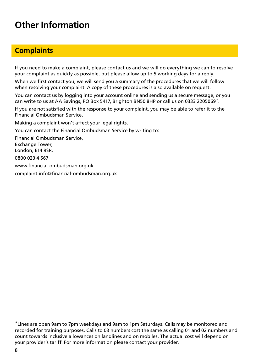## **Other Information**

### **Complaints**

If you need to make a complaint, please contact us and we will do everything we can to resolve your complaint as quickly as possible, but please allow up to 5 working days for a reply.

When we first contact you, we will send you a summary of the procedures that we will follow when resolving your complaint. A copy of these procedures is also available on request.

You can contact us by logging into your account online and sending us a secure message, or you can write to us at AA Savings, PO Box 5417, Brighton BN50 8HP or call us on 0333 2205069\*.

If you are not satisfied with the response to your complaint, you may be able to refer it to the Financial Ombudsman Service.

Making a complaint won't affect your legal rights.

You can contact the Financial Ombudsman Service by writing to:

Financial Ombudsman Service, Exchange Tower, London, E14 9SR.

0800 023 4 567

www.financial-ombudsman.org.uk

complaint.info@financial-ombudsman.org.uk

\*Lines are open 9am to 7pm weekdays and 9am to 1pm Saturdays. Calls may be monitored and recorded for training purposes. Calls to 03 numbers cost the same as calling 01 and 02 numbers and count towards inclusive allowances on landlines and on mobiles. The actual cost will depend on your provider's tariff. For more information please contact your provider.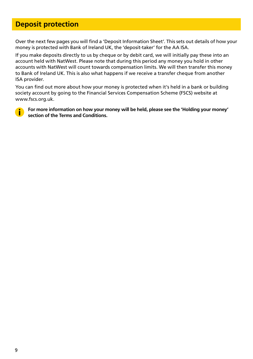### **Deposit protection**

Over the next few pages you will find a 'Deposit Information Sheet'. This sets out details of how your money is protected with Bank of Ireland UK, the 'deposit-taker' for the AA ISA.

If you make deposits directly to us by cheque or by debit card, we will initially pay these into an account held with NatWest. Please note that during this period any money you hold in other accounts with NatWest will count towards compensation limits. We will then transfer this money to Bank of Ireland UK. This is also what happens if we receive a transfer cheque from another ISA provider.

You can find out more about how your money is protected when it's held in a bank or building society account by going to the Financial Services Compensation Scheme (FSCS) website at www.fscs.org.uk.



**For more information on how your money will be held, please see the 'Holding your money' section of the Terms and Conditions.**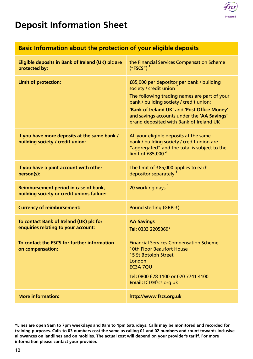

## **Deposit Information Sheet**

### **Basic Information about the protection of your eligible deposits**

| Eligible deposits in Bank of Ireland (UK) plc are<br>protected by:                                                                                | the Financial Services Compensation Scheme<br>$("FSCS")$ <sup>1</sup>                                                                                                                                                                                                                                    |
|---------------------------------------------------------------------------------------------------------------------------------------------------|----------------------------------------------------------------------------------------------------------------------------------------------------------------------------------------------------------------------------------------------------------------------------------------------------------|
| <b>Limit of protection:</b>                                                                                                                       | £85,000 per depositor per bank / building<br>society / credit union<br>The following trading names are part of your<br>bank / building society / credit union:<br>'Bank of Ireland UK' and 'Post Office Money'<br>and savings accounts under the 'AA Savings'<br>brand deposited with Bank of Ireland UK |
| If you have more deposits at the same bank /<br>building society / credit union:                                                                  | All your eligible deposits at the same<br>bank / building society / credit union are<br>"aggregated" and the total is subject to the<br>limit of £85,000 $^2$                                                                                                                                            |
| If you have a joint account with other<br>person(s):                                                                                              | The limit of £85,000 applies to each<br>depositor separately <sup>3</sup>                                                                                                                                                                                                                                |
| Reimbursement period in case of bank,<br>building society or credit unions failure:                                                               | 20 working days <sup>4</sup>                                                                                                                                                                                                                                                                             |
| <b>Currency of reimbursement:</b>                                                                                                                 | Pound sterling (GBP, £)                                                                                                                                                                                                                                                                                  |
| To contact Bank of Ireland (UK) plc for<br>enquiries relating to your account:<br>To contact the FSCS for further information<br>on compensation: | <b>AA Savings</b><br>Tel: 0333 2205069*<br><b>Financial Services Compensation Scheme</b><br>10th Floor Beaufort House<br>15 St Botolph Street<br>London<br>EC3A 7OU<br>Tel: 0800 678 1100 or 020 7741 4100<br>Email: ICT@fscs.org.uk                                                                     |
| <b>More information:</b>                                                                                                                          | http://www.fscs.org.uk                                                                                                                                                                                                                                                                                   |

**\*Lines are open 9am to 7pm weekdays and 9am to 1pm Saturdays. Calls may be monitored and recorded for training purposes. Calls to 03 numbers cost the same as calling 01 and 02 numbers and count towards inclusive allowances on landlines and on mobiles. The actual cost will depend on your provider's tariff. For more information please contact your provider.**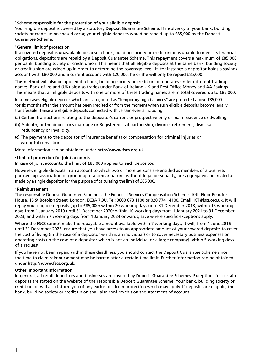#### **1 Scheme responsible for the protection of your eligible deposit**

Your eligible deposit is covered by a statutory Deposit Guarantee Scheme. If insolvency of your bank, building society or credit union should occur, your eligible deposits would be repaid up to £85,000 by the Deposit Guarantee Scheme.

#### **2 General limit of protection**

If a covered deposit is unavailable because a bank, building society or credit union is unable to meet its financial obligations, depositors are repaid by a Deposit Guarantee Scheme. This repayment covers a maximum of £85,000 per bank, building society or credit union. This means that all eligible deposits at the same bank, building society or credit union are added up in order to determine the coverage level. If, for instance a depositor holds a savings account with £80,000 and a current account with £20,000, he or she will only be repaid £85,000.

This method will also be applied if a bank, building society or credit union operates under different trading names. Bank of Ireland (UK) plc also trades under Bank of Ireland UK and Post Office Money and AA Savings. This means that all eligible deposits with one or more of these trading names are in total covered up to £85,000.

In some cases eligible deposits which are categorised as "temporary high balances" are protected above £85,000 for six months after the amount has been credited or from the moment when such eligible deposits become legally transferable. These are eligible deposits connected with certain events including:

(a) Certain transactions relating to the depositor's current or prospective only or main residence or dwelling;

- (b) A death, or the depositor's marriage or Registered civil partnership, divorce, retirement, dismissal, redundancy or invalidity;
- (c) The payment to the depositor of insurance benefits or compensation for criminal injuries or wrongful conviction.

More information can be obtained under **http://www.fscs.org.uk**

#### **3 Limit of protection for joint accounts**

In case of joint accounts, the limit of £85,000 applies to each depositor.

However, eligible deposits in an account to which two or more persons are entitled as members of a business partnership, association or grouping of a similar nature, without legal personality, are aggregated and treated as if made by a single depositor for the purpose of calculating the limit of £85,000.

#### **4 Reimbursement**

The responsible Deposit Guarantee Scheme is the Financial Services Compensation Scheme, 10th Floor Beaufort House, 15 St Botolph Street, London, EC3A 7QU, Tel: 0800 678 1100 or 020 7741 4100, Email: ICT@fscs.org.uk. It will repay your eligible deposits (up to £85,000) within 20 working days until 31 December 2018; within 15 working days from 1 January 2019 until 31 December 2020; within 10 working days from 1 January 2021 to 31 December 2023; and within 7 working days from 1 January 2024 onwards, save where specific exceptions apply.

Where the FSCS cannot make the repayable amount available within 7 working days, it will, from 1 June 2016 until 31 December 2023, ensure that you have access to an appropriate amount of your covered deposits to cover the cost of living (in the case of a depositor which is an individual) or to cover necessary business expenses or operating costs (in the case of a depositor which is not an individual or a large company) within 5 working days of a request.

If you have not been repaid within these deadlines, you should contact the Deposit Guarantee Scheme since the time to claim reimbursement may be barred after a certain time limit. Further information can be obtained under **http://www.fscs.org.uk.**

#### **Other important information**

In general, all retail depositors and businesses are covered by Deposit Guarantee Schemes. Exceptions for certain deposits are stated on the website of the responsible Deposit Guarantee Scheme. Your bank, building society or credit union will also inform you of any exclusions from protection which may apply. If deposits are eligible, the bank, building society or credit union shall also confirm this on the statement of account.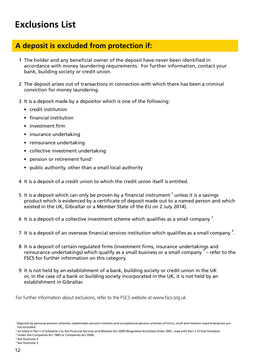## **Exclusions List**

### **A deposit is excluded from protection if:**

- 1 The holder and any beneficial owner of the deposit have never been identified in accordance with money laundering requirements. For further information, contact your bank, building society or credit union.
- 2 The deposit arises out of transactions in connection with which there has been a criminal conviction for money laundering.
- 3 It is a deposit made by a depositor which is one of the following:
	- credit institution
	- financial institution
	- investment firm
	- insurance undertaking
	- reinsurance undertaking
	- collective investment undertaking
	- pension or retirement fund<sup>1</sup>
	- public authority, other than a small local authority
- 4 It is a deposit of a credit union to which the credit union itself is entitled.
- 5 It is a deposit which can only be proven by a financial instrument  $^2$  unless it is a savings product which is evidenced by a certificate of deposit made out to a named person and which existed in the UK, Gibraltar or a Member State of the EU on 2 July 2014).
- 6 It is a deposit of a collective investment scheme which qualifies as a small company  $^3$ .
- 7 It is a deposit of an overseas financial services institution which qualifies as a small company  $^4\!$
- 8 It is a deposit of certain regulated firms (investment firms, insurance undertakings and reinsurance undertakings) which qualify as a small business or a small company <sup>5</sup> – refer to the FSCS for further information on this category.
- 9 It is not held by an establishment of a bank, building society or credit union in the UK or, in the case of a bank or building society incorporated in the UK, it is not held by an establishment in Gibraltar.

For further information about exclusions, refer to the FSCS website at www.fscs.org.uk

3 Under the Companies Act 1985 or Companies Act 2006.

4 See footnote 3.

<sup>1</sup> Deposits by personal pension schemes, stakeholder pension schemes and occupational pension schemes of micro, small and medium sized enterprises are not excluded.

<sup>2</sup> As listed in Part I of Schedule 2 to the Financial Services and Markets Act 2000 (Regulated Activities) Order 2001, read with Part 2 of that Schedule.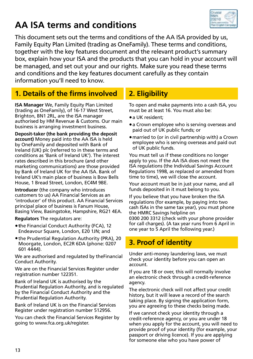## **AA ISA terms and conditions**



This document sets out the terms and conditions of the AA ISA provided by us, Family Equity Plan Limited (trading as OneFamily). These terms and conditions, together with the key features document and the relevant product's summary box, explain how your ISA and the products that you can hold in your account will be managed, and set out your and our rights. Make sure you read these terms and conditions and the key features document carefully as they contain information you'll need to know.

### **1. Details of the firms involved**

**ISA Manager** We, Family Equity Plan Limited (trading as OneFamily), of 16-17 West Street, Brighton, BN1 2RL, are the ISA manager authorised by HM Revenue & Customs. Our main business is arranging investment business.

**Deposit-taker (the bank providing the deposit account)** Money paid into the AA ISA is held by OneFamily and deposited with Bank of Ireland (UK) plc (referred to in these terms and conditions as 'Bank of Ireland UK'). The interest rates described in this brochure (and other marketing communications) are those provided by Bank of Ireland UK for the AA ISA. Bank of Ireland UK's main place of business is Bow Bells House, 1 Bread Street, London, EC4M 9BE.

**Introducer** (the company who introduces customers to us) AA Financial Services as an 'introducer' of this product. AA Financial Services principal place of business is Fanum House, Basing View, Basingstoke, Hampshire, RG21 4EA.

**Regulators** The regulators are:

- **t**he Financial Conduct Authority (FCA), 12 Endeavour Square, London, E20 1JN; and
- the Prudential Regulation Authority (PRA), 20 Moorgate, London, EC2R 6DA (phone: 0207 601 4444).

We are authorised and regulated by theFinancial Conduct Authority.

We are on the Financial Services Register under registration number 122351.

Bank of Ireland UK is authorised by the Prudential Regulation Authority, and is regulated by the Financial Conduct Authority and the Prudential Regulation Authority.

Bank of Ireland UK is on the Financial Services Register under registration number 512956.

You can check the Financial Services Register by going to www.fca.org.uk/register.

### **2. Eligibility**

To open and make payments into a cash ISA, you must be at least 16. You must also be:

- a UK resident;
- a Crown employee who is serving overseas and paid out of UK public funds; or
- married to (or in civil partnership with) a Crown employee who is serving overseas and paid out of UK public funds.

You must tell us if these conditions no longer apply to you. If the AA ISA does not meet the ISA regulations (the Individual Savings Account Regulations 1998, as replaced or amended from time to time), we will close the account.

Your account must be in just your name, and all funds deposited in it must belong to you.

If you believe that you have broken the ISA regulations (for example, by paying into two cash ISAs in the same tax year), you must phone the HMRC Savings helpline on

0300 200 3312 (check with your phone provider for call charges). (A tax year runs from 6 April in one year to 5 April the following year.)

### **3. Proof of identity**

Under anti-money laundering laws, we must check your identity before you can open an account.

If you are 18 or over, this will normally involve an electronic check through a credit-reference agency.

The electronic check will not affect your credit history, but it will leave a record of the search taking place. By signing the application form, you are agreeing to these checks being made.

If we cannot check your identity through a credit-reference agency, or you are under 18 when you apply for the account, you will need to provide proof of your identity (for example, your passport or driving licence). If you are applying for someone else who you have power of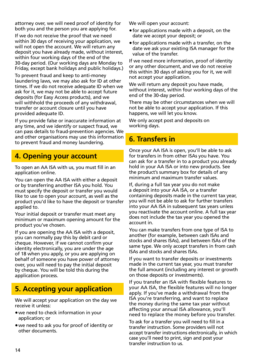attorney over, we will need proof of identity for both you and the person you are applying for.

If we do not receive the proof that we need within 30 days of receiving your application, we will not open the account. We will return any deposit you have already made, without interest, within four working days of the end of the 30-day period. (Our working days are Monday to Friday, except bank holidays and public holidays.)

To prevent fraud and keep to anti-money laundering laws, we may also ask for ID at other times. If we do not receive adequate ID when we ask for it, we may not be able to accept future deposits (for Easy Access products), and we will withhold the proceeds of any withdrawal, transfer or account closure until you have provided adequate ID.

If you provide false or inaccurate information at any time, and we identify or suspect fraud, we can pass details to fraud-prevention agencies. We and other organisations may use this information to prevent fraud and money laundering.

### **4. Opening your account**

To open an AA ISA with us, you must fill in an application online.

You can open the AA ISA with either a deposit or by transferring another ISA you hold. You must specify the deposit or transfer you would like to use to open your account, as well as the product you'd like to have the deposit or transfer applied to.

Your initial deposit or transfer must meet any minimum or maximum opening amount for the product you've chosen.

If you are opening the AA ISA with a deposit, you can normally pay this by debit card or cheque. However, if we cannot confirm your identity electronically, you are under the age of 18 when you apply, or you are applying on behalf of someone you have power of attorney over, you will need to pay the initial deposit by cheque. You will be told this during the application process.

### **5. Accepting your application**

We will accept your application on the day we receive it unless:

- we need to check information in your application; or
- we need to ask you for proof of identity or other documents.

We will open your account:

- for applications made with a deposit, on the date we accept your deposit; or
- for applications made with a transfer, on the date we ask your existing ISA manager for the value of the transfer.

If we need more information, proof of identity or any other document, and we do not receive this within 30 days of asking you for it, we will not accept your application.

We will return any deposit you have made. without interest, within four working days of the end of the 30-day period.

There may be other circumstances when we will not be able to accept your application. If this happens, we will let you know.

We only accept post and deposits on working days.

### **6. Transfers in**

Once your AA ISA is open, you'll be able to ask for transfers in from other ISAs you have. You can ask for a transfer in to a product you already hold in your AA ISA or into new products. See the product's summary box for details of any minimum and maximum transfer values.

If, during a full tax year you do not make a deposit into your AA ISA, or a transfer containing deposits made in the current tax year, you will not be able to ask for further transfers into your AA ISA in subsequent tax years unless you reactivate the account online. A full tax year does not include the tax year you opened the account in.

You can make transfers from one type of ISA to another (for example, between cash ISAs and stocks and shares ISAs), and between ISAs of the same type. We only accept transfers in from cash ISAs and stocks and shares ISAs.

If you want to transfer deposits or investments made in the current tax year, you must transfer the full amount (including any interest or growth on those deposits or investments).

If you transfer an ISA with flexible features to your AA ISA, the flexible features will no longer apply. If you've made a withdrawal from the ISA you're transferring, and want to replace the money during the same tax year without affecting your annual ISA allowance, you'll need to replace the money before you transfer.

To ask for a transfer you will need to fill in a transfer instruction. Some providers will not accept transfer instructions electronically, in which case you'll need to print, sign and post your transfer instruction to us.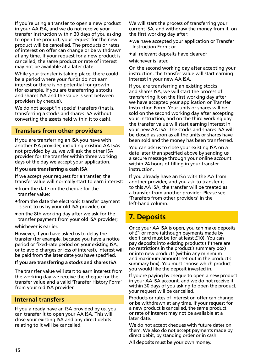If you're using a transfer to open a new product in your AA ISA, and we do not receive your transfer instruction within 30 days of you asking to open the product, your request for the new product will be cancelled. The products or rates of interest on offer can change or be withdrawn at any time. If your request for a new product is cancelled, the same product or rate of interest may not be available at a later date.

While your transfer is taking place, there could be a period where your funds do not earn interest or there is no potential for growth (for example, if you are transferring a stocks and shares ISA and the value is sent between providers by cheque).

We do not accept 'in specie' transfers (that is, transferring a stocks and shares ISA without converting the assets held within it to cash).

### **Transfers from other providers**

If you are transferring an ISA you have with another ISA provider, including existing AA ISAs not provided by us, we will ask the other ISA provider for the transfer within three working days of the day we accept your application.

#### **If you are transferring a cash ISA**

If we accept your request for a transfer, the transfer value will normally start to earn interest:

- from the date on the cheque for the transfer value;
- from the date the electronic transfer payment is sent to us by your old ISA provider; or
- on the 8th working day after we ask for the transfer payment from your old ISA provider;

whichever is earlier.

However, if you have asked us to delay the transfer (for example, because you have a notice period or fixed-rate period on your existing ISA, or to avoid charges or loss of interest), interest will be paid from the later date you have specified.

#### **If you are transferring a stocks and shares ISA**

The transfer value will start to earn interest from the working day we receive the cheque for the transfer value and a valid 'Transfer History Form' from your old ISA provider.

### **Internal transfers**

If you already have an ISA provided by us, you can transfer it to open your AA ISA. This will close your existing ISA and any direct debits relating to it will be cancelled.

We will start the process of transferring your current ISA, and withdraw the money from it, on the first working day after:

- we have accepted your application or Transfer Instruction Form; or
- all relevant deposits have cleared;
- whichever is later.

On the second working day after accepting your instruction, the transfer value will start earning interest in your new AA ISA.

If you are transferring an existing stocks and shares ISA, we will start the process of transferring it on the first working day after we have accepted your application or Transfer Instruction Form. Your units or shares will be sold on the second working day after accepting your instruction, and on the third working day the transfer value will start earning interest in your new AA ISA. The stocks and shares ISA will be closed as soon as all the units or shares have been sold and the money has been transferred.

You can ask us to close your existing ISA on a date later than specified above by sending us a secure message through your online account within 24 hours of filling in your transfer instruction.

If you already have an ISA with the AA from another provider, and you ask to transfer it to this AA ISA, the transfer will be treated as a transfer from another provider. Please see 'Transfers from other providers' in the left-hand column.

### **7. Deposits**

Once your AA ISA is open, you can make deposits of £1 or more (although payments made by debit card must be for at least £10). You can pay deposits into existing products (if there are no restrictions in the product's summary box) or into new products (within any minimum and maximum amounts set out in the product's summary box). You must choose which product you would like the deposit invested in.

If you're paying by cheque to open a new product in your AA ISA account, and we do not receive it within 30 days of you asking to open the product, your request will be cancelled.

Products or rates of interest on offer can change or be withdrawn at any time. If your request for a new product is cancelled, the same product or rate of interest may not be available at a later date.

We do not accept cheques with future dates on them. We also do not accept payments made by direct debit, by standing order or in cash.

All deposits must be your own money.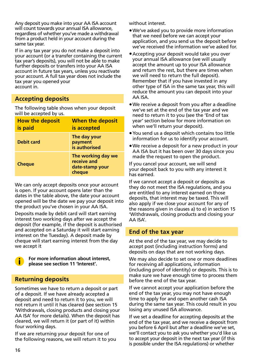Any deposit you make into your AA ISA account will count towards your annual ISA allowance, regardless of whether you've made a withdrawal from a product held in your account during the same tax year.

If in any tax year you do not make a deposit into your account (or a transfer containing the current tax year's deposits), you will not be able to make further deposits or transfers into your AA ISA account in future tax years, unless you reactivate your account. A full tax year does not include the tax year you opened your account in.

### **Accepting deposits**

The following table shows when your deposit will be accepted by us.

| <b>How the deposit</b><br>is paid | When the deposit<br>is accepted                                |
|-----------------------------------|----------------------------------------------------------------|
| <b>Debit card</b>                 | The day your<br>payment<br>is authorised                       |
| <b>Cheque</b>                     | The working day we<br>receive and<br>date-stamp your<br>cheque |

We can only accept deposits once your account is open. If your account opens later than the dates in the table above, the date your account opened will be the date we pay your deposit into the product you've chosen in your AA ISA.

Deposits made by debit card will start earning interest two working days after we accept the deposit (for example, if the deposit is authorised and accepted on a Saturday it will start earning interest on the Tuesday). A deposit made by cheque will start earning interest from the day we accept it



 **For more information about interest, please see section 11 'Interest'.**

#### **Returning deposits**

Sometimes we have to return a deposit or part of a deposit. If we have already accepted a deposit and need to return it to you, we will not return it until it has cleared (see section 15 'Withdrawals, closing products and closing your AA ISA' for more details). When the deposit has cleared, we will return it (or part of it) within four working days.

If we are returning your deposit for one of the following reasons, we will return it to you without interest.

- We've asked you to provide more information that we need before we can accept your application, and you send us the deposit before we've received the information we've asked for.
- Accepting your deposit would take you over your annual ISA allowance (we will usually accept the amount up to your ISA allowance and return the rest, but there are times when we will need to return the full deposit). Remember that if you have invested in any other type of ISA in the same tax year, this will reduce the amount you can deposit into your AA ISA.
- We receive a deposit from you after a deadline we've set at the end of the tax year and we need to return it to you (see the 'End of tax year' section below for more information on when we'll return your deposit).
- You send us a deposit which contains too little information for us to identify your account.
- We receive a deposit for a new product in your AA ISA but it has been over 30 days since you made the request to open the product.

If you cancel your account, we will send your deposit back to you with any interest it has earned.

If we cannot accept a deposit or deposits as they do not meet the ISA regulations, and you are entitled to any interest earned on those deposits, that interest may be taxed. This will also apply if we close your account for any of the reasons given in clauses a) to e) in section 15 'Withdrawals, closing products and closing your AA ISA'.

#### **End of the tax year**

At the end of the tax year, we may decide to accept post (including instruction forms) and deposits on days that are not working days.

We may also decide to set one or more deadlines for receiving all applications, information (including proof of identity) or deposits. This is to make sure we have enough time to process them before the end of the tax year.

If we cannot accept your application before the end of the tax year, you may not have enough time to apply for and open another cash ISA during the same tax year. This could result in you losing any unused ISA allowance.

If we set a deadline for accepting deposits at the end of the tax year, and we receive a deposit from you before 6 April but after a deadline we've set, we'll contact you to ask you whether you'd like us to accept your deposit in the next tax year (if this is possible under the ISA regulations) or whether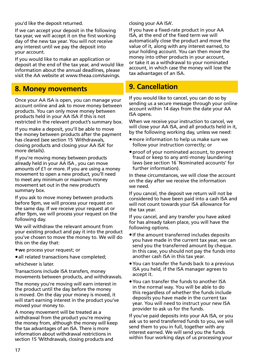you'd like the deposit returned.

If we can accept your deposit in the following tax year, we will accept it on the first working day of the new tax year. You will not receive any interest until we pay the deposit into your account.

If you would like to make an application or deposit at the end of the tax year, and would like information about the annual deadlines, please visit the AA website at www.theaa.com/savings.

### **8. Money movements**

Once your AA ISA is open, you can manage your account online and ask to move money between products. You can only move money between products held in your AA ISA if this is not restricted in the relevant product's summary box.

If you make a deposit, you'll be able to move the money between products after the payment has cleared (see section 15 `Withdrawals, closing products and closing your AA ISA' for more details).

If you're moving money between products already held in your AA ISA , you can move amounts of £1 or more. If you are using a money movement to open a new product, you'll need to meet any minimum or maximum money movement set out in the new product's summary box.

If you ask to move money between products before 9pm, we will process your request on the same day. If we receive your request at or after 9pm, we will process your request on the following day.

We will withdraw the relevant amount from your existing product and pay it into the product you've chosen to move the money to. We will do this on the day that:

- **w**e process your request; or
- all related transactions have completed;

whichever is later.

Transactions include ISA transfers, money movements between products, and withdrawals.

The money you're moving will earn interest in the product until the day before the money is moved. On the day your money is moved, it will start earning interest in the product you've moved your money to.

A money movement will be treated as a withdrawal from the product you're moving the money from, although the money will keep the tax advantages of an ISA. There is more information about withdrawal restrictions in section 15 'Withdrawals, closing products and

closing your AA ISA'.

If you have a fixed-rate product in your AA ISA, at the end of the fixed term we will automatically close the product and move the value of it, along with any interest earned, to your holding account. You can then move the money into other products in your account, or take it as a withdrawal to your nominated account, in which case the money will lose the tax advantages of an ISA.

### **9. Cancellation**

If you would like to cancel, you can do so by sending us a secure message through your online account within 14 days from the date your AA ISA opens.

When we receive your instruction to cancel, we will close your AA ISA, and all products held in it, by the following working day, unless we need:

- more information to help us make sure we follow your instruction correctly; or
- proof of your nominated account, to prevent fraud or keep to any anti-money laundering laws (see section 16 `Nominated accounts' for further information).

In these circumstances, we will close the account on the day after we receive the information we need.

If you cancel, the deposit we return will not be considered to have been paid into a cash ISA and will not count towards your ISA allowance for the tax year.

If you cancel, and any transfer you have asked for has already taken place, you will have the following options.

- If the amount transferred includes deposits you have made in the current tax year, we can send you the transferred amount by cheque. In this case, you should not pay the funds into another cash ISA in this tax year.
- You can transfer the funds back to a previous ISA you held, if the ISA manager agrees to accept it.
- You can transfer the funds to another ISA in the normal way. You will be able to do this regardless of whether the funds include deposits you have made in the current tax year. You will need to instruct your new ISA provider to ask us for the funds.

If you've paid deposits into your AA ISA, or you ask us to send transferred funds to you, we will send them to you in full, together with any interest earned. We will send you the funds within four working days of us processing your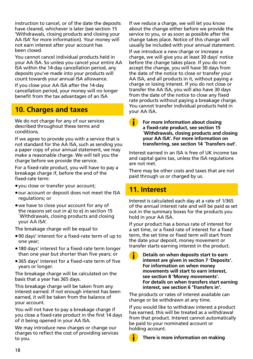instruction to cancel, or of the date the deposits have cleared, whichever is later (see section 15 'Withdrawals, closing products and closing your AA ISA' for more information). Your money will not earn interest after your account has been closed.

You cannot cancel individual products held in your AA ISA. So unless you cancel your entire AA ISA within the 14-day cancellation period, any deposits you've made into your products will count towards your annual ISA allowance.

If you close your AA ISA after the 14-day cancellation period, your money will no longer benefit from the tax advantages of an ISA

### **10. Charges and taxes**

We do not charge for any of our services described throughout these terms and conditions.

If we agree to provide you with a service that is not standard for the AA ISA, such as sending you a paper copy of your annual statement, we may make a reasonable charge. We will tell you the charge before we provide the service.

For a fixed-rate product, you will have to pay a breakage charge if, before the end of the fixed-rate term:

- you close or transfer your account;
- our account or deposit does not meet the ISA regulations; or
- we have to close your account for any of the reasons set out in a) to e) in section 15 `Withdrawals, closing products and closing your AA ISA'.

The breakage charge will be equal to:

- 90 days' interest for a fixed-rate term of up to one year;
- 180 days' interest for a fixed-rate term longer than one year but shorter than five years; or
- 365 days' interest for a fixed-rate term of five years or longer.

The breakage charge will be calculated on the basis that a year has 365 days.

This breakage charge will be taken from any interest earned. If not enough interest has been earned, it will be taken from the balance of your account.

You will not have to pay a breakage charge if you close a fixed-rate product in the first 14 days of it being opened in your AA ISA.

We may introduce new charges or change our charges to reflect the cost of providing services to you.

If we reduce a charge, we will let you know about the change either before we provide the service to you, or as soon as possible after the change takes place. Notice of this change will usually be included with your annual statement.

If we introduce a new charge or increase a charge, we will give you at least 30 days' notice before the change takes place. If you do not accept the change, you will have 30 days from the date of the notice to close or transfer your AA ISA, and all products in it, without paying a charge or losing interest. If you do not close or transfer the AA ISA, you will also have 30 days from the date of the notice to close any fixed rate products without paying a breakage charge. You cannot transfer individual products held in your AA ISA.

#### **For more information about closing a fixed-rate product, see section 15 `Withdrawals, closing products and closing your AA ISA'. For more information on transferring, see section 14 `Transfers out'.**

Interest earned in an ISA is free of UK income tax and capital gains tax, unless the ISA regulations are not met.

There may be other costs and taxes that are not paid through us or charged by us.

### **11. Interest**

Interest is calculated each day at a rate of 1/365 of the annual interest rate and will be paid as set out in the summary boxes for the products you hold in your AA ISA.

If your product has a bonus rate of interest for a set time, or a fixed rate of interest for a fixed term, the set time or fixed term will start from the date your deposit, money movement or transfer starts earning interest in the product.

 **Details on when deposits start to earn interest are given in section 7 'Deposits'. For information on when money movements will start to earn interest, see section 8 'Money movements'. For details on when transfers start earning interest, see section 6 'Transfers in'.**

The products or rates of interest available can change or be withdrawn at any time.

If you would like to withdraw interest a product has earned, this will be treated as a withdrawal from that product. Interest cannot automatically be paid to your nominated account or holding account.

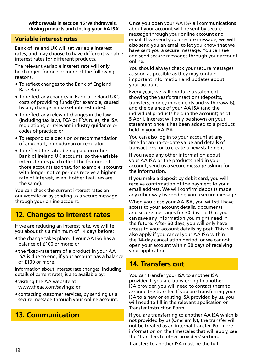**withdrawals in section 15 'Withdrawals, closing products and closing your AA ISA'.**

#### **Variable interest rates**

Bank of Ireland UK will set variable interest rates, and may choose to have different variable interest rates for different products.

The relevant variable interest rate will only be changed for one or more of the following reasons.

- **•** To reflect changes to the Bank of England Base Rate.
- **•** To reflect any changes in Bank of Ireland UK's costs of providing funds (for example, caused by any change in market interest rates).
- **•** To reflect any relevant changes in the law (including tax law), FCA or PRA rules, the ISA regulations, or relevant industry guidance or codes of practice; or
- **•** To respond to a decision or recommendation of any court, ombudsman or regulator.
- **•** To reflect the rates being paid on other Bank of Ireland UK accounts, so the variable interest rates paid reflect the features of those accounts (so that, for example, accounts with longer notice periods receive a higher rate of interest, even if other features are the same).

You can check the current interest rates on our website or by sending us a secure message through your online account.

### **12. Changes to interest rates**

If we are reducing an interest rate, we will tell you about this a minimum of 14 days before:

- the change takes place, if your AA ISA has a balance of £100 or more; or
- the fixed-rate term of a product in your AA ISA is due to end, if your account has a balance  $of f100 or more$

Information about interest rate changes, including details of current rates, is also available by:

- visiting the AA website at www.theaa.com/savings; or
- contacting customer services, by sending us a secure message through your online account.

### **13. Communication**

Once you open your AA ISA all communications about your account will be sent by secure message through your online account and email. If we send you a secure message, we will also send you an email to let you know that we have sent you a secure message. You can see and send secure messages through your account online.

You should always check your secure messages as soon as possible as they may contain important information and updates about your account.

Every year, we will produce a statement showing the year's transactions (deposits, transfers, money movements and withdrawals), and the balance of your AA ISA (and the individual products held in the account) as of 5 April. Interest will only be shown on your statement once it has been added to a product held in your AA ISA.

You can also log in to your account at any time for an up-to-date value and details of transactions, or to create a new statement.

If you need any other information about your AA ISA or the products held in your account, send us a secure message asking for the information.

If you make a deposit by debit card, you will receive confirmation of the payment to your email address. We will confirm deposits made any other way by sending you a secure message.

When you close your AA ISA, you will still have access to your account details, documents and secure messages for 30 days so that you can save any information you might need in the future. After 30 days, you will only have access to your account details by post. This will also apply if you cancel your AA ISA within the 14-day cancellation period, or we cannot open your account within 30 days of receiving your application.

### **14. Transfers out**

You can transfer your ISA to another ISA provider. If you are transferring to another ISA provider, you will need to contact them to arrange the transfer. If you are transferring your ISA to a new or existing ISA provided by us, you will need to fill in the relevant application or Transfer Instruction Form.

If you are transferring to another AA ISA which is not provided by us (OneFamily), the transfer will not be treated as an internal transfer. For more information on the timescales that will apply, see the 'Transfers to other providers' section.

Transfers to another ISA must be the full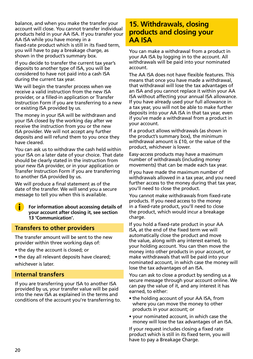balance, and when you make the transfer your account will close. You cannot transfer individual products held in your AA ISA. If you transfer your AA ISA while you have money in a fixed-rate product which is still in its fixed term, you will have to pay a breakage charge, as shown in the product's summary box.

If you decide to transfer the current tax year's deposits to another type of ISA, you will be considered to have not paid into a cash ISA during the current tax year.

We will begin the transfer process when we receive a valid instruction from the new ISA provider, or a filled-in application or Transfer Instruction Form if you are transferring to a new or existing ISA provided by us.

The money in your ISA will be withdrawn and your ISA closed by the working day after we receive the instruction from you or the new ISA provider. We will not accept any further deposits and will refund them to you once they have cleared.

You can ask us to withdraw the cash held within your ISA on a later date of your choice. That date should be clearly stated in the instruction from your new ISA provider, or in your application or Transfer Instruction Form if you are transferring to another ISA provided by us.

We will produce a final statement as of the date of the transfer. We will send you a secure message to tell you when this is available.

 **For information about accessing details of your account after closing it, see section 13 'Communication'.**

#### **Transfers to other providers**

The transfer amount will be sent to the new provider within three working days of:

• the day the account is closed; or

• the day all relevant deposits have cleared; whichever is later.

#### **Internal transfers**

If you are transferring your ISA to another ISA provided by us, your transfer value will be paid into the new ISA as explained in the terms and conditions of the account you're transferring to.

### **15. Withdrawals, closing products and closing your AA ISA**

You can make a withdrawal from a product in your AA ISA by logging in to the account. All withdrawals will be paid into your nominated account.

The AA ISA does not have flexible features. This means that once you have made a withdrawal, that withdrawal will lose the tax advantages of an ISA and you cannot replace it within your AA ISA without affecting your annual ISA allowance. If you have already used your full allowance in a tax year, you will not be able to make further deposits into your AA ISA in that tax year, even if you've made a withdrawal from a product in your account.

If a product allows withdrawals (as shown in the product's summary box), the minimum withdrawal amount is £10, or the value of the product, whichever is lower.

Easy-access products may have a maximum number of withdrawals (including money movements) that can be made each tax year.

If you have made the maximum number of withdrawals allowed in a tax year, and you need further access to the money during that tax year, you'll need to close the product.

You cannot make withdrawals from fixed-rate products. If you need access to the money in a fixed-rate product, you'll need to close the product, which would incur a breakage charge.

If you hold a fixed-rate product in your AA ISA, at the end of the fixed term we will automatically close the product and move the value, along with any interest earned, to your holding account. You can then move the money into other products in your account, or make withdrawals that will be paid into your nominated account, in which case the money will lose the tax advantages of an ISA.

You can ask to close a product by sending us a secure message through your account online. We can pay the value of it, and any interest it has earned, to either:

- the holding account of your AA ISA, from where you can move the money to other products in your account; or
- your nominated account, in which case the money will lose the tax advantages of an ISA.

If your request includes closing a fixed rate product which is still in its fixed term, you will have to pay a Breakage Charge.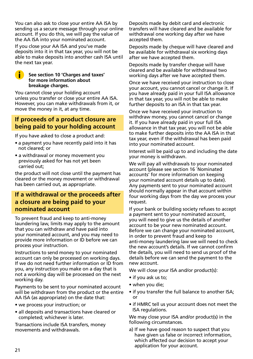You can also ask to close your entire AA ISA by sending us a secure message through your online account. If you do this, we will pay the value of the AA ISA into your nominated account.

If you close your AA ISA and you've made deposits into it in that tax year, you will not be able to make deposits into another cash ISA until the next tax year.

#### **See section 10 'Charges and taxes' for more information about breakage charges.**

Œ

You cannot close your holding account unless you transfer or close your entire AA ISA. However, you can make withdrawals from it, or move the money in it, at any time.

### **If proceeds of a product closure are being paid to your holding account**

If you have asked to close a product and:

- a payment you have recently paid into it has not cleared; or
- a withdrawal or money movement you previously asked for has not yet been carried out;

the product will not close until the payment has cleared or the money movement or withdrawal has been carried out, as appropriate.

### **If a withdrawal or the proceeds after a closure are being paid to your nominated account**

To prevent fraud and keep to anti-money laundering law, limits may apply to the amount that you can withdraw and have paid into your nominated account, and you may need to provide more information or ID before we can process your instruction.

Instructions to send money to your nominated account can only be processed on working days. If we do not need further information or ID from you, any instruction you make on a day that is not a working day will be processed on the next working day.

Payments to be sent to your nominated account will be withdrawn from the product or the entire AA ISA (as appropriate) on the date that:

- we process your instruction; or
- all deposits and transactions have cleared or completed; whichever is later.

Transactions include ISA transfers, money movements and withdrawals.

Deposits made by debit card and electronic transfers will have cleared and be available for withdrawal one working day after we have accepted them.

Deposits made by cheque will have cleared and be available for withdrawal six working days after we have accepted them.

Deposits made by transfer cheque will have cleared and be available for withdrawal two working days after we have accepted them.

Once we have received your instruction to close your account, you cannot cancel or change it. If you have already paid in your full ISA allowance in that tax year, you will not be able to make further deposits to an ISA in that tax year.

Once we have received your instruction to withdraw money, you cannot cancel or change it. If you have already paid in your full ISA allowance in that tax year, you will not be able to make further deposits into the AA ISA in that tax year, even if the withdrawal has been paid into your nominated account.

Interest will be paid up to and including the date your money is withdrawn.

We will pay all withdrawals to your nominated account (please see section 16 `Nominated accounts' for more information on keeping your nominated account details up to date). Any payments sent to your nominated account should normally appear in that account within four working days from the day we process your request.

If your bank or building society refuses to accept a payment sent to your nominated account, you will need to give us the details of another account to be your new nominated account. Before we can change your nominated account, in order to prevent fraud and keep to anti-money laundering law we will need to check the new account's details. If we cannot confirm the details, you will need to send us proof of the details before we can send the payment to the new account.

We will close your ISA and/or product(s):

- if you ask us to;
- when you die;
- if you transfer the full balance to another ISA; or
- if HMRC tell us your account does not meet the ISA regulations.

We may close your ISA and/or product(s) in the following circumstances.

a) If we have good reason to suspect that you have given us false or incorrect information, which affected our decision to accept your application for your account.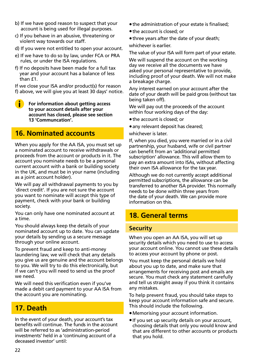- b) If we have good reason to suspect that your account is being used for illegal purposes.
- c) If you behave in an abusive, threatening or violent way towards our staff.
- d) If you were not entitled to open your account.
- e) If we have to do so by law, under FCA or PRA rules, or under the ISA regulations.
- f) If no deposits have been made for a full tax year and your account has a balance of less than  $f1$ .

If we close your ISA and/or product(s) for reason f) above, we will give you at least 30 days' notice.

 **For information about getting access to your account details after your account has closed, please see section 13 'Communcation'.**

### **16. Nominated accounts**

When you apply for the AA ISA, you must set up a nominated account to receive withdrawals or proceeds from the account or products in it. The account you nominate needs to be a personal current account with a bank or building society in the UK, and must be in your name (including as a joint account holder).

We will pay all withdrawal payments to you by `direct credit'. If you are not sure the account you want to nominate will accept this type of payment, check with your bank or building society.

You can only have one nominated account at a time.

You should always keep the details of your nominated account up to date. You can update your details by sending us a secure message through your online account.

To prevent fraud and keep to anti-money laundering law, we will check that any details you give us are genuine and the account belongs to you. We will try to do this electronically, but if we can't you will need to send us the proof we need.

We will need this verification even if you've made a debit card payment to your AA ISA from the account you are nominating.

### **17. Death**

In the event of your death, your account's tax benefits will continue. The funds in the account will be referred to as 'administration-period investments' held in a 'continuing account of a deceased investor' until:

- the administration of your estate is finalised;
- the account is closed; or
- three years after the date of your death;

whichever is earlier.

The value of your ISA will form part of your estate.

We will suspend the account on the working day we receive all the documents we have asked your personal representative to provide, including proof of your death. We will not make a breakage charge.

Any interest earned on your account after the date of your death will be paid gross (without tax being taken off).

We will pay out the proceeds of the account within four working days of the day:

- the account is closed; or
- any relevant deposit has cleared;
- whichever is later.

If, when you died, you were married or in a civil partnership, your husband, wife or civil partner can benefit from an 'additional permitted subscription' allowance. This will allow them to pay an extra amount into ISAs, without affecting their own ISA allowance for the tax year.

Although we do not currently accept additional permitted subscriptions, the allowance can be transferred to another ISA provider. This normally needs to be done within three years from the date of your death. We can provide more information on this.

### **18. General terms**

#### **Security**

When you open an AA ISA, you will set up security details which you need to use to access your account online. You cannot use these details to access your account by phone or post.

You must keep the personal details we hold about you up to date, and make sure that arrangements for receiving post and emails are secure. You must check any statement carefully and tell us straight away if you think it contains any mistakes.

To help prevent fraud, you should take steps to keep your account information safe and secure. This should include the following.

- Memorising your account information.
- If you set up security details on your account, choosing details that only you would know and that are different to other accounts or products that you hold.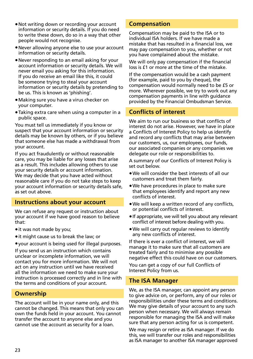- Not writing down or recording your account information or security details. If you do need to write these down, do so in a way that other people would not recognise.
- Never allowing anyone else to use your account information or security details.
- Never responding to an email asking for your account information or security details. We will never email you asking for this information. If you do receive an email like this, it could be someone trying to steal your account information or security details by pretending to be us. This is known as 'phishing'.
- Making sure you have a virus checker on your computer.
- Taking extra care when using a computer in a public space.

You must tell us immediately if you know or suspect that your account information or security details may be known by others, or if you believe that someone else has made a withdrawal from your account.

If you act fraudulently or without reasonable care, you may be liable for any losses that arise as a result. This includes allowing others to use your security details or account information. We may decide that you have acted without reasonable care if you do not take steps to keep your account information or security details safe, as set out above.

#### **Instructions about your account**

We can refuse any request or instruction about your account if we have good reason to believe that:

- it was not made by you;
- it might cause us to break the law; or
- your account is being used for illegal purposes.

If you send us an instruction which contains unclear or incomplete information, we will contact you for more information. We will not act on any instruction until we have received all the information we need to make sure your instruction is processed correctly and in line with the terms and conditions of your account.

#### **Ownership**

The account will be in your name only, and this cannot be changed. This means that only you can own the funds held in your account. You cannot transfer the account to anyone else and you cannot use the account as security for a loan.

#### **Compensation**

Compensation may be paid to the ISA or to individual ISA holders. If we have made a mistake that has resulted in a financial loss, we may pay compensation to you, whether or not you have complained about the mistake.

We will only pay compensation if the financial loss is £1 or more at the time of the mistake.

If the compensation would be a cash payment (for example, paid to you by cheque), the compensation would normally need to be £5 or more. Wherever possible, we try to work out any compensation payments in line with guidance provided by the Financial Ombudsman Service.

### **Conflicts of interest**

We aim to run our business so that conflicts of interest do not arise. However, we have in place a Conflicts of Interest Policy to help us identify and record any conflicts that may arise between our customers, us, our employees, our funds, our associated companies or any companies we delegate our role or responsibilities to.

A summary of our Conflicts of Interest Policy is set out below.

- We will consider the best interests of all our customers and treat them fairly.
- We have procedures in place to make sure that employees identify and report any new conflicts of interest.
- We will keep a written record of any conflicts, or potential conflicts of interest.
- If appropriate, we will tell you about any relevant conflict of interest before dealing with you.
- We will carry out regular reviews to identify any new conflicts of interest.

If there is ever a conflict of interest, we will manage it to make sure that all customers are treated fairly and to minimise any possible negative effect this could have on our customers.

You can get a copy of our full Conflicts of Interest Policy from us.

#### **The ISA Manager**

We, as the ISA manager, can appoint any person to give advice on, or perform, any of our roles or responsibilities under these terms and conditions. We may give details of your account to any such person when necessary. We will always remain responsible for managing the ISA and will make sure that any person acting for us is competent.

We may resign or retire as ISA manager. If we do this, we will transfer our roles and responsibilities as ISA manager to another ISA manager approved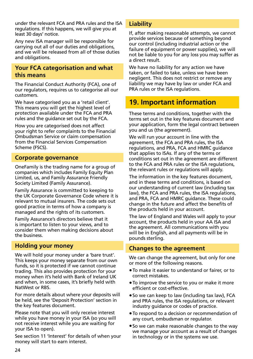under the relevant FCA and PRA rules and the ISA regulations. If this happens, we will give you at least 30 days' notice.

Any new ISA manager will be responsible for carrying out all of our duties and obligations, and we will be released from all of those duties and obligations.

### **Your FCA categorisation and what this means**

The Financial Conduct Authority (FCA), one of our regulators, requires us to categorise all our customers.

We have categorised you as a 'retail client'. This means you will get the highest level of protection available under the FCA and PRA rules and the guidance set out by the FCA.

How you are categorised does not affect your right to refer complaints to the Financial Ombudsman Service or claim compensation from the Financial Services Compensation Scheme (FSCS).

### **Corporate governance**

OneFamily is the trading name for a group of companies which includes Family Equity Plan Limited, us, and Family Assurance Friendly Society Limited (Family Assurance).

Family Assurance is committed to keeping to the UK Corporate Governance Code where it is relevant to mutual insurers. The code sets out good practice in terms of how a company is managed and the rights of its customers.

Family Assurance's directors believe that it is important to listen to your views, and to consider them when making decisions about the business.

#### **Holding your money**

We will hold your money under a 'bare trust'. This keeps your money separate from our own funds, so it is protected if we cannot continue trading. This also provides protection for your money when it's held with Bank of Ireland UK and when, in some cases, it's briefly held with NatWest or RBS.

For more details about where your deposits will be held, see the 'Deposit Protection' section in the key features document.

Please note that you will only receive interest while you have money in your ISA (so you will not receive interest while you are waiting for your ISA to open).

See section 11 'Interest' for details of when your money will start to earn interest.

### **Liability**

If, after making reasonable attempts, we cannot provide services because of something beyond our control (including industrial action or the failure of equipment or power supplies), we will not be liable to you for any loss you may suffer as a direct result.

We have no liability for any action we have taken, or failed to take, unless we have been negligent. This does not restrict or remove any liability we may have by law or under FCA and PRA rules or the ISA regulations.

### **19. Important information**

These terms and conditions, together with the terms set out in the key features document and your application, form the legal contract between you and us (the agreement).

We will run your account in line with the agreement, the FCA and PRA rules, the ISA regulations, and PRA, FCA and HMRC guidance that applies to ISAs. If any of the terms or conditions set out in the agreement are different to the FCA and PRA rules or the ISA regulations, the relevant rules or regulations will apply.

The information in the key features document, and in these terms and conditions, is based on our understanding of current law (including tax law), the FCA and PRA rules, the ISA regulations, and PRA, FCA and HMRC guidance. These could change in the future and affect the benefits of the products held in your account.

The law of England and Wales will apply to your account, the products held in your AA ISA and the agreement. All communications with you will be in English, and all payments will be in pounds sterling.

### **Changes to the agreement**

We can change the agreement, but only for one or more of the following reasons.

- To make it easier to understand or fairer, or to correct mistakes.
- To improve the service to you or make it more efficient or cost-effective.
- So we can keep to law (including tax law), FCA and PRA rules, the ISA regulations, or relevant industry guidance or codes of practice.
- To respond to a decision or recommendation of any court, ombudsman or regulator.
- So we can make reasonable changes to the way we manage your account as a result of changes in technology or in the systems we use.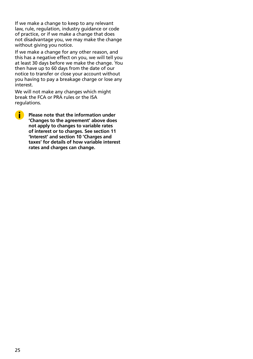If we make a change to keep to any relevant law, rule, regulation, industry guidance or code of practice, or if we make a change that does not disadvantage you, we may make the change without giving you notice.

If we make a change for any other reason, and this has a negative effect on you, we will tell you at least 30 days before we make the change. You then have up to 60 days from the date of our notice to transfer or close your account without you having to pay a breakage charge or lose any interest.

We will not make any changes which might break the FCA or PRA rules or the ISA regulations.

Œ

 **Please note that the information under 'Changes to the agreement' above does not apply to changes to variable rates of interest or to charges. See section 11 'Interest' and section 10 'Charges and taxes' for details of how variable interest rates and charges can change.**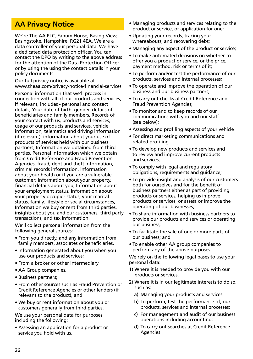### **AA Privacy Notice**

We're The AA PLC, Fanum House, Basing View, Basingstoke, Hampshire, RG21 4EA. We are a data controller of your personal data. We have a dedicated data protection officer. You can contact the DPO by writing to the above address for the attention of the Data Protection Officer or by using the using the contact details in your policy documents.

Our full privacy notice is available at www.theaa.com/privacy-notice-financial-services

Personal information that we'll process in connection with all of our products and services, if relevant, includes - personal and contact details, Your date of birth, gender, details of beneficiaries and family members, Records of your contact with us, products and services, usage of our products and services, vehicle information, telematics and driving information (if relevant), information about your use of products of services held with our business partners, Information we obtained from third parties, Personal information which we obtain from Credit Reference and Fraud Prevention Agencies, fraud, debt and theft information, criminal records information, information about your health or if you are a vulnerable customer; Information about your property, financial details about you, Information about your employment status; Information about your property occupier status, your marital status, family, lifestyle or social circumstances, Information we buy or rent from third parties, insights about you and our customers, third party transactions, and tax information.

We'll collect personal information from the following general sources:

- From you directly, and any information from family members, associates or beneficiaries.
- Information generated about you when you use our products and services;
- From a broker or other intermediary
- AA Group companies,
- Business partners;
- From other sources such as Fraud Prevention or Credit Reference Agencies or other lenders (if relevant to the product), and
- We buy or rent information about you or customers generally from third parties.

We use your personal data for purposes including the following:

• Assessing an application for a product or service you hold with us.

- Managing products and services relating to the product or service, or application for one;
- Updating your records, tracing your whereabouts, and recovering debt:
- Managing any aspect of the product or service;
- To make automated decisions on whether to offer you a product or service, or the price, payment method, risk or terms of it;
- To perform and/or test the performance of our products, services and internal processes;
- To operate and improve the operation of our business and our business partners;
- To carry out checks at Credit Reference and Fraud Prevention Agencies;
- To monitor and to keep records of our communications with you and our staff (see below);
- Assessing and profiling aspects of your vehicle
- For direct marketing communications and related profiling
- To develop new products and services and to review and improve current products and services;
- To comply with legal and regulatory obligations, requirements and guidance;
- To provide insight and analysis of our customers both for ourselves and for the benefit of business partners either as part of providing products or services, helping us improve products or services, or assess or improve the operating of our businesses;
- To share information with business partners to provide our products and services or operating our business;
- To facilitate the sale of one or more parts of our business; and
- To enable other AA group companies to perform any of the above purposes.

We rely on the following legal bases to use your personal data:

- 1) Where it is needed to provide you with our products or services.
- 2) Where it is in our legitimate interests to do so, such as:
	- a) Managing your products and services
	- b) To perform, test the performance of, our products, services and internal processes;
	- c) For management and audit of our business operations including accounting;
	- d) To carry out searches at Credit Reference Agencies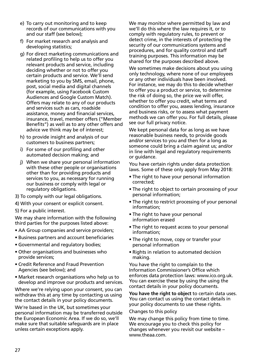- e) To carry out monitoring and to keep records of our communications with you and our staff (see below);
- f) For market research and analysis and developing statistics;
- g) For direct marketing communications and related profiling to help us to offer you relevant products and service, including deciding whether or not to offer you certain products and service. We'll send marketing to you by SMS, email, phone, post, social media and digital channels (for example, using Facebook Custom Audiences and Google Custom Match). Offers may relate to any of our products and services such as cars, roadside assistance, money and financial services, insurance, travel, member offers ("Member Benefits") as well as to any other offers and advice we think may be of interest;
- h) to provide insight and analysis of our customers to business partners;
- i) For some of our profiling and other automated decision making; and
- j) When we share your personal information with these other people or organisations other than for providing products and services to you, as necessary for running our business or comply with legal or regulatory obligations.
- 3) To comply with our legal obligations.
- 4) With your consent or explicit consent.
- 5) For a public interest.

We may share information with the following third parties for the purposes listed above:

- AA Group companies and service providers;
- Business partners and account beneficiaries
- Governmental and regulatory bodies;
- Other organisations and businesses who provide services;
- Credit Reference and Fraud Prevention Agencies (see below); and
- Market research organisations who help us to develop and improve our products and services.

Where we're relying upon your consent, you can withdraw this at any time by contacting us using the contact details in your policy documents.

We're based in the UK, but sometimes your personal information may be transferred outside the European Economic Area. If we do so, we'll make sure that suitable safeguards are in place unless certain exceptions apply.

We may monitor where permitted by law and we'll do this where the law requires it, or to comply with regulatory rules, to prevent or detect crime, in the interests of protecting the security of our communications systems and procedures, and for quality control and staff training purposes. This information may be shared for the purposes described above.

We sometimes make decisions about you using only technology, where none of our employees or any other individuals have been involved. For instance, we may do this to decide whether to offer you a product or service, to determine the risk of doing so, the price we will offer, whether to offer you credit, what terms and condition to offer you, assess lending, insurance and business risks, or to assess what payment methods we can offer you. For full details, please see our full privacy notice.

We kept personal data for as long as we have reasonable business needs, to provide goods and/or services to you and then for a long as someone could bring a claim against us; and/or in line with legal and regulatory requirements or guidance.

You have certain rights under data protection laws. Some of these only apply from May 2018:

- The right to have your personal information corrected;
- The right to object to certain processing of your personal information;
- The right to restrict processing of your personal information;
- The right to have your personal information erased
- The right to request access to your personal information;
- The right to move, copy or transfer your personal information
- Rights in relation to automated decision making.

You have the right to complain to the Information Commissioner's Office which enforces data protection laws: www.ico.org.uk. You can exercise these by using the using the contact details in your policy documents.

**You have the right to object** to certain data uses. You can contact us using the contact details in your policy documents to use these rights.

#### Changes to this policy

We may change this policy from time to time. We encourage you to check this policy for changes whenever you revisit our website – www.theaa.com.